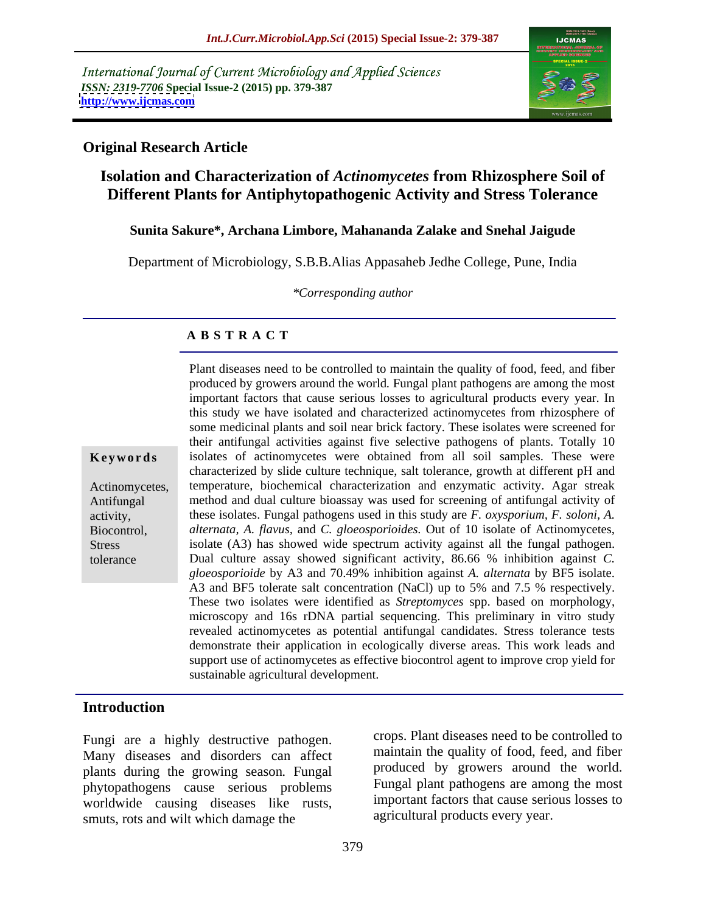International Journal of Current Microbiology and Applied Sciences *ISSN: 2319-7706* **Special Issue-2 (2015) pp. 379-387 <http://www.ijcmas.com>**



### **Original Research Article**

# **Isolation and Characterization of** *Actinomycetes* **from Rhizosphere Soil of Different Plants for Antiphytopathogenic Activity and Stress Tolerance**

### **Sunita Sakure\*, Archana Limbore, Mahananda Zalake and Snehal Jaigude**

Department of Microbiology, S.B.B.Alias Appasaheb Jedhe College, Pune, India

*\*Corresponding author*

# **A B S T R A C T**

tolerance

produced by growers around the world*.* Fungal plant pathogens are among the most important factors that cause serious losses to agricultural products every year. In this study we have isolated and characterized actinomycetes from rhizosphere of some medicinal plants and soil near brick factory. These isolates were screened for their antifungal activities against five selective pathogens of plants. Totally 10 **Keywords** isolates of actinomycetes were obtained from all soil samples. These were characterized by slide culture technique, salt tolerance, growth at different pH and Actinomycetes, temperature, biochemical characterization and enzymatic activity. Agar streak method and dual culture bioassay was used for screening of antifungal activity of Antifungal activity, these isolates. Fungal pathogens used in this study are *F. oxysporium, F. soloni, A. alternata, A. flavus,* and *C. gloeosporioides.* Out of 10 isolate of Actinomycetes, Biocontrol, isolate (A3) has showed wide spectrum activity against all the fungal pathogen. Stress Dual culture assay showed significant activity, 86.66 % inhibition against *C. gloeosporioide* by A3 and 70.49% inhibition against *A. alternata* by BF5 isolate. A3 and BF5 tolerate salt concentration (NaCl) up to 5% and 7.5 % respectively.<br>These two isolates were identified as *Streptomyces* spp. based on morphology,<br>microscopy and 16s rDNA partial sequencing. This preliminary in revealed actinomycetes as potential antifungal candidates. Stress tolerance tests demonstrate their application in ecologically diverse areas. This work leads and support use of actinomycetes as effective biocontrol agent to improve crop yield for sustainable agricultural development.

Plant diseases need to be controlled to maintain the quality of food, feed, and fiber

### **Introduction**

Fungi are a highly destructive pathogen. Many diseases and disorders can affect plants during the growing season*.* Fungal phytopathogens cause serious problems worldwide causing diseases like rusts, smuts, rots and wilt which damage the

crops. Plant diseases need to be controlled to maintain the quality of food, feed, and fiber produced by growers around the world. Fungal plant pathogens are among the most important factors that cause serious losses to agricultural products every year.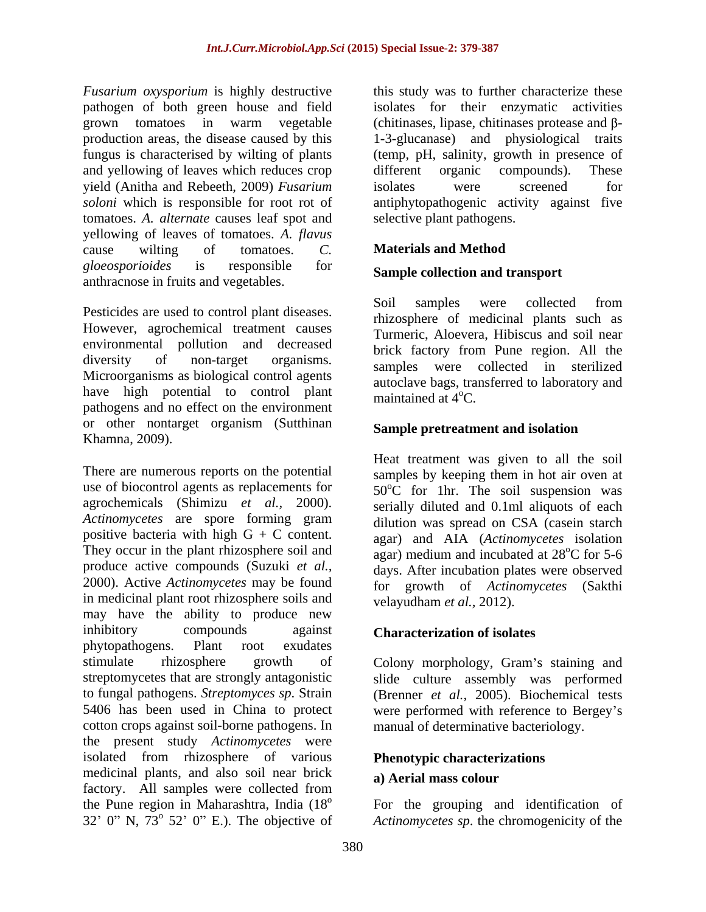*Fusarium oxysporium* is highly destructive this study was to further characterize these pathogen of both green house and field grown tomatoes in warm vegetable (chitinases, lipase, chitinases protease and  $\beta$ production areas, the disease caused by this 1-3-glucanase) and physiological traits fungus is characterised by wilting of plants (temp, pH, salinity, growth in presence of and yellowing of leaves which reduces crop different organic compounds). These yield (Anitha and Rebeeth, 2009) *Fusarium*  soloni which is responsible for root rot of antiphytopathogenic activity against five tomatoes. *A. alternate* causes leaf spot and yellowing of leaves of tomatoes. *A. flavus*  cause wilting of tomatoes. *C. gloeosporioides* is responsible for anthracnose in fruits and vegetables.

However, agrochemical treatment causes environmental pollution and decreased diversity of non-target organisms. Since the diversion in the region. The diversity of diversity of non-target organisms.<br>Microorganisms as biological control agents have high potential to control plant pathogens and no effect on the environment or other nontarget organism (Sutthinan Khamna, 2009).

There are numerous reports on the potential use of biocontrol agents as replacements for agrochemicals (Shimizu *et al.,* 2000). serially diluted and 0.1ml aliquots of each *Actinomycetes* are spore forming gram positive bacteria with high  $G + C$  content. They occur in the plant rhizosphere soil and produce active compounds (Suzuki *et al.*, produce active compounds (Suzuki *et al.*, days. After incubation plates were observed 2000). Active *Actinomycetes* may be found in medicinal plant root rhizosphere soils and may have the ability to produce new inhibitory compounds against **Characterization of isolates** phytopathogens. Plant root exudates stimulate rhizosphere growth of Colony morphology, Gram's staining and streptomycetes that are strongly antagonistic slide culture assembly was performed to fungal pathogens. *Streptomyces sp*. Strain (Brenner *et al.,* 2005). Biochemical tests 5406 has been used in China to protect were performed with reference to Bergey s cotton crops against soil-borne pathogens. In the present study *Actinomycetes* were isolated from rhizosphere of various medicinal plants, and also soil near brick a) Aerial mass colour factory. All samples were collected from the Pune region in Maharashtra, India (18<sup>o</sup> For the grouping and identification of 32' 0" N,  $73^{\circ}$  52' 0" E.). The objective of

isolates for their enzymatic activities different organic compounds). These isolates were screened for selective plant pathogens.

# **Materials and Method**

# **Sample collection and transport**

Pesticides are used to control plant diseases. Soil samples were collected from Soil samples were collected from rhizosphere of medicinal plants such as Turmeric, Aloevera, Hibiscus and soil near brick factory from Pune region. All the samples were collected in autoclave bags, transferred to laboratory and maintained at  $4^{\circ}$ C.

# **Sample pretreatment and isolation**

Heat treatment was given to all the soil samples by keeping them in hot air oven at  $50^{\circ}$ C for 1hr. The soil suspension was dilution was spread on CSA (casein starch agar) and AIA (*Actinomycetes* isolation agar) medium and incubated at  $28^{\circ}$ C for 5-6  $\rm{^{\circ}C}$  for 5-6 for growth of *Actinomycetes* (Sakthi velayudham *et al.,* 2012).

manual of determinative bacteriology.

# **Phenotypic characterizations**

### **a) Aerial mass colour**

<sup>o</sup> 52' 0" E.). The objective of *Actinomycetes sp*. the chromogenicity of the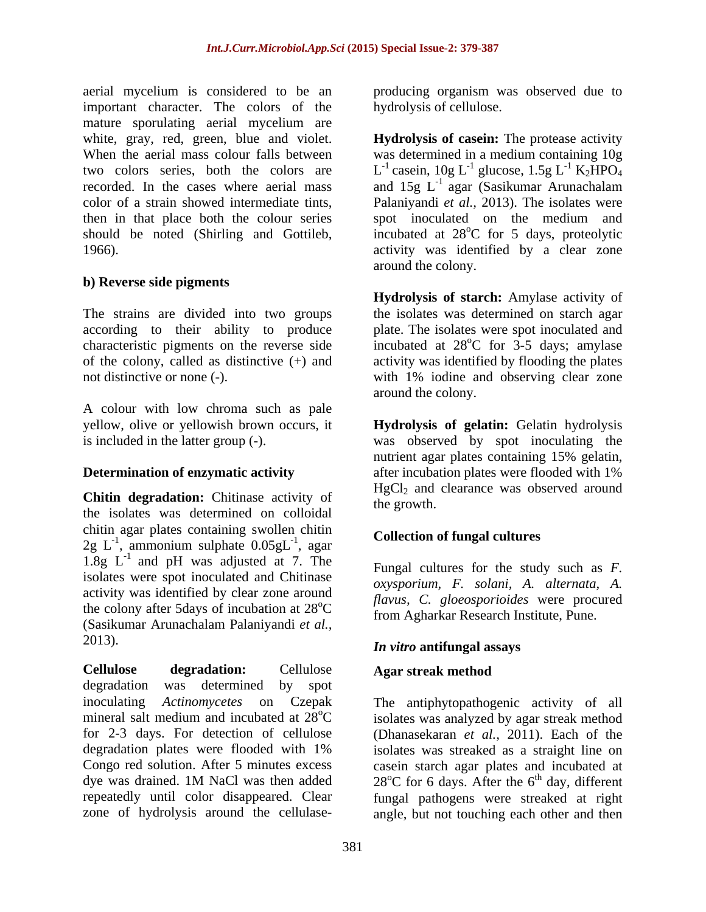aerial mycelium is considered to be an producing organism was observed due to important character. The colors of the mature sporulating aerial mycelium are

# **b) Reverse side pigments**

The strains are divided into two groups according to their ability to produce characteristic pigments on the reverse side incubated at 28<sup>o</sup>C for 3-5 days; amylase of the colony, called as distinctive (+) and activity was identified by flooding the plates not distinctive or none (-). with 1% iodine and observing clear zone

A colour with low chroma such as pale yellow, olive or yellowish brown occurs, it **Hydrolysis of gelatin:** Gelatin hydrolysis is included in the latter group (-). was observed by spot inoculating the

**Chitin degradation:** Chitinase activity of the growth. the isolates was determined on colloidal chitin agar plates containing swollen chitin  $2g \text{ } L^{-1}$ , ammonium sulphate  $0.05gL^{-1}$ , agar **Conection of lungar cultures**  $\mu$ , ammonium sulphate  $0.05gL^{-1}$ , agar 1.8g  $L^{-1}$  and pH was adjusted at 7. The Europe cultures for the study such as F and pH was adjusted at 7. The  $\sum_{\text{Funnel}}$  cultures for the study such as F isolates were spot inoculated and Chitinase activity was identified by clear zone around the colony after 5days of incubation at 28 (Sasikumar Arunachalam Palaniyandi *et al.,* 2013). *In vitro* **antifungal assays**

**Cellulose degradation:** Cellulose degradation was determined by spot inoculating *Actinomycetes* on Czepak The antiphytopathogenic activity of all mineral salt medium and incubated at  $28^{\circ}\text{C}$  isolates was analyzed by agar streak method for 2-3 days. For detection of cellulose (Dhanasekaran *et al.,* 2011). Each of the degradation plates were flooded with 1% isolates was streaked as a straight line on Congo red solution. After 5 minutes excess casein starch agar plates and incubated at dye was drained. 1M NaCl was then added  $28^{\circ}$ C for 6 days. After the 6<sup>th</sup> day, different repeatedly until color disappeared. Clear fungal pathogens were streaked at right

hydrolysis of cellulose.

white, gray, red, green, blue and violet. **Hydrolysis of casein:** The protease activity When the aerial mass colour falls between was determined in a medium containing 10g two colors series, both the colors are  $L^{-1}$  casein,  $10g L^{-1}$  glucose,  $1.5g L^{-1} K_2 HPO_4$ recorded. In the cases where aerial mass and  $15g \mathrm{L}^{-1}$  agar (Sasikumar Arunachalam color of a strain showed intermediate tints, Palaniyandi *et al.,* 2013). The isolates were then in that place both the colour series spot inoculated on the medium and should be noted (Shirling and Gottileb, incubated at 28<sup>o</sup>C for 5 days, proteolytic 1966). activity was identified by a clear zone glucose,  $1.5$ g L<sup>-1</sup> K<sub>2</sub>HPO<sub>4</sub>  $^{-1}$  K<sub>2</sub>HPO<sub>4</sub> agar (Sasikumar Arunachalam <sup>o</sup>C for 5 days, proteolytic around the colony.

> **Hydrolysis of starch:** Amylase activity of the isolates was determined on starch agar plate. The isolates were spot inoculated and  $^{\circ}$ C for  $3-5$  days; amylase around the colony.

**Determination of enzymatic activity** after incubation plates were flooded with 1% nutrient agar plates containing 15% gelatin,  $HgCl<sub>2</sub>$  and clearance was observed around the growth.

### $\frac{1}{1}$  ager conection of fungal cultures , agar concerton or ranger career to **Collection of fungal cultures**

 ${}^{\circ}C$  from Agharkar Research Institute, Pune. Fungal cultures for the study such as *F. oxysporium, F. solani, A. alternata, A. flavus, C. gloeosporioides* were procured

# **Agar streak method**

zone of hydrolysis around the cellulase-angle, but not touching each other and then<sup>th</sup> day, different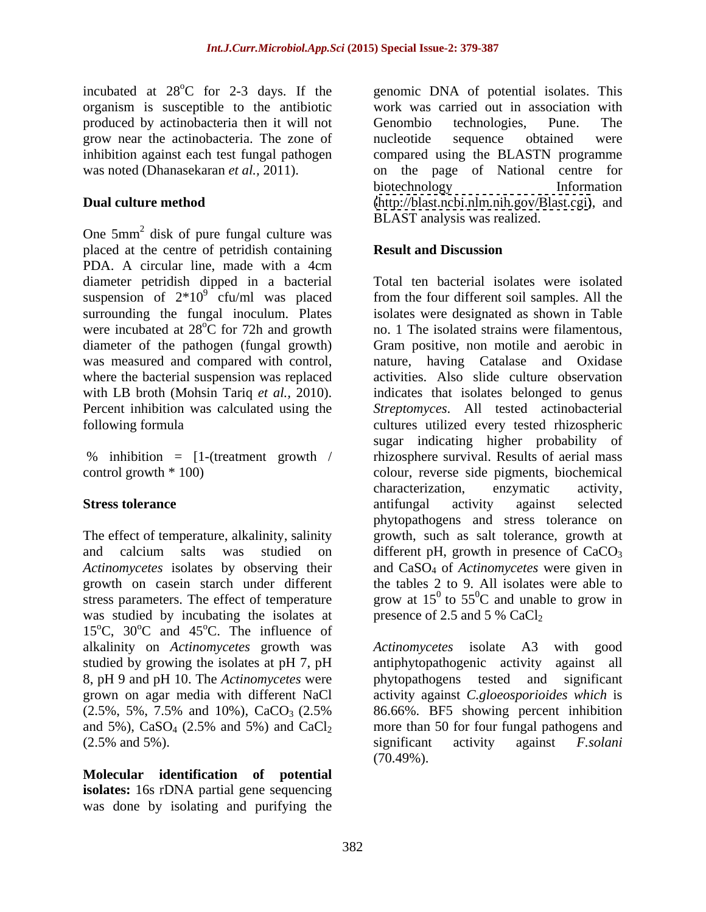incubated at 28<sup>o</sup>C for 2-3 days. If the genomic DNA of potential isolates. This organism is susceptible to the antibiotic work was carried out in association with produced by actinobacteria then it will not Genombio technologies, Pune. The grow near the actinobacteria. The zone of inhibition against each test fungal pathogen compared using the BLASTN programme was noted (Dhanasekaran *et al.,* 2011). on the page of National centre for

One 5mm 2 disk of pure fungal culture was placed at the centre of petridish containing **Result and Discussion** PDA. A circular line, made with a 4cm diameter petridish dipped in a bacterial suspension of  $2*10^9$  cfu/ml was placed was measured and compared with control,

The effect of temperature, alkalinity, salinity stress parameters. The effect of temperature was studied by incubating the isolates at 15<sup>o</sup>C, 30<sup>o</sup>C and 45<sup>o</sup>C. The influence of <sup>o</sup>C and 45<sup>o</sup>C. The influence of  ${}^{\circ}$ C. The influence of alkalinity on *Actinomycetes* growth was (2.5% and 5%). Significant activity against F.solani

**Molecular identification of potential isolates:** 16s rDNA partial gene sequencing was done by isolating and purifying the

**Dual culture method**  [\(http://blast.ncbi.nlm.nih.gov/Blast.cgi\)](http://blast.ncbi.nlm.nih.gov/Blast.cgi), and Genombio technologies, Pune. The nucleotide sequence obtained were biotechnology **Information** BLAST analysis was realized.

# **Result and Discussion**

<sup>9</sup> cfu/ml was placed from the four different soil samples. All the surrounding the fungal inoculum. Plates isolates were designated as shown in Table were incubated at  $28^{\circ}C$  for 72h and growth no. 1 The isolated strains were filamentous, diameter of the pathogen (fungal growth) Gram positive, non motile and aerobic in where the bacterial suspension was replaced activities. Also slide culture observation with LB broth (Mohsin Tariq *et al.,* 2010). indicates that isolates belonged to genus Percent inhibition was calculated using the *Streptomyces*. All tested actinobacterial following formula cultures utilized every tested rhizospheric % inhibition = [1-(treatment growth / rhizosphere survival. Results of aerial mass control growth \* 100) colour, reverse side pigments, biochemical **Stress tolerance Stress tolerance and interval activity against** selected and calcium salts was studied on different pH, growth in presence of  $CaCO<sub>3</sub>$ *Actinomycetes* isolates by observing their and CaSO4 of *Actinomycetes* were given in growth on casein starch under different the tables 2 to 9. All isolates were able to Total ten bacterial isolates were isolated nature, having Catalase and Oxidase sugar indicating higher probability of characterization, enzymatic activity, antifungal activity against selected phytopathogens and stress tolerance on growth, such as salt tolerance, growth at grow at  $15^{\circ}$  to  $55^{\circ}$ C and unable to grow in  ${}^{0}C$  and unable to grow in presence of 2.5 and 5 %  $CaCl<sub>2</sub>$ 

studied by growing the isolates at pH 7, pH antiphytopathogenic activity against all 8, pH 9 and pH 10. The *Actinomycetes* were phytopathogens tested and significant grown on agar media with different NaCl activity against *C.gloeosporioides which* is  $(2.5\%, 5\%, 7.5\% \text{ and } 10\%), \text{ CaCO}_3 (2.5\% \text{ s} 86.66\%. \text{ BF5 showing percent inhibition}$ and 5%),  $CaSO_4$  (2.5% and 5%) and  $CaCl_2$  more than 50 for four fungal pathogens and *Actinomycetes* isolate A3 86.66%. BF5 showing percent inhibition significant activity against *F.solani*  $(70.49\%)$ .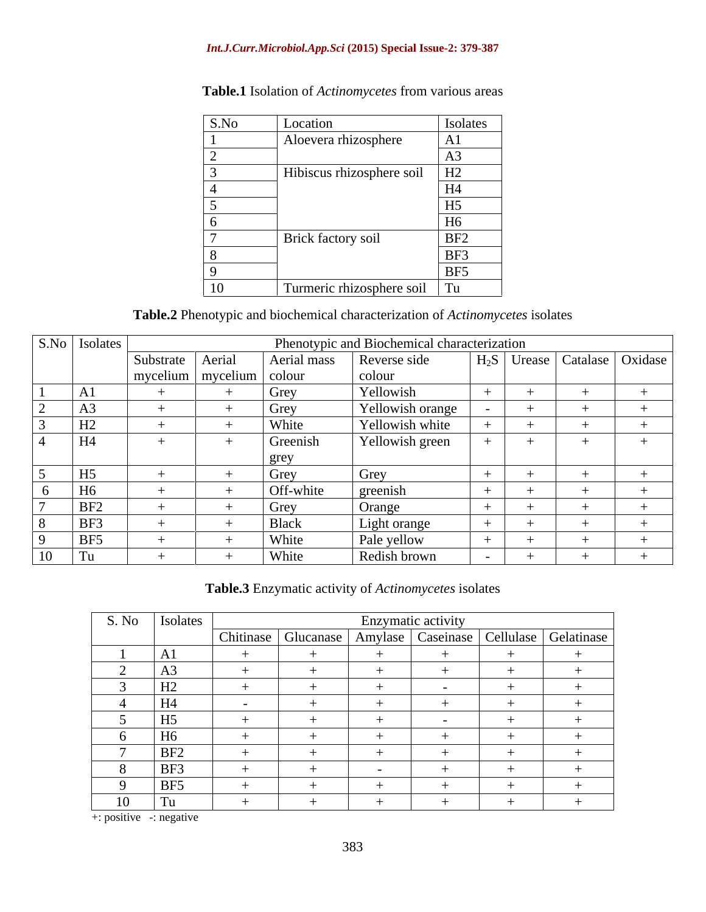### *Int.J.Curr.Microbiol.App.Sci* **(2015) Special Issue-2: 379-387**

| S.No | Location                                     | Isolates        |
|------|----------------------------------------------|-----------------|
|      | Aloevera rhizosphere                         | A1              |
|      |                                              |                 |
|      | $\vert$ Hibiscus rhizosphere soil $\vert$ H2 |                 |
|      |                                              | H <sub>4</sub>  |
|      |                                              | H <sub>5</sub>  |
|      |                                              | H <sub>6</sub>  |
|      | Brick factory soil                           | BF <sub>2</sub> |
|      |                                              | BF3             |
|      |                                              | BF5             |
| 10   | Turmeric rhizosphere soil Tu                 |                 |

**Table.1** Isolation of *Actinomycetes* from various areas

**Table.2** Phenotypic and biochemical characterization of *Actinomycetes* isolates

| S.No   Isolates |                                           |              | Phenotypic and Biochemical characterization |  |                                          |
|-----------------|-------------------------------------------|--------------|---------------------------------------------|--|------------------------------------------|
|                 | Substrate Aerial                          |              | Aerial mass Reverse side                    |  | H <sub>2</sub> S Urease Catalase Oxidase |
|                 | $\boxed{\text{mycelium}}$ mycelium colour |              | colour                                      |  |                                          |
|                 |                                           | Grey         | Yellowish                                   |  |                                          |
|                 |                                           | Grey         | Yellowish orange                            |  |                                          |
| பி<br>112       |                                           | White        | Yellowish white                             |  |                                          |
| H4              |                                           | Greenish     | Yellowish green                             |  |                                          |
|                 |                                           | grey         |                                             |  |                                          |
| H5              |                                           | Grey         | Grey                                        |  |                                          |
| 10              |                                           | Off-white    | greenish                                    |  |                                          |
| BF <sub>2</sub> |                                           | Grey         | Orange                                      |  |                                          |
| BF3             |                                           | <b>Black</b> | Light orange                                |  |                                          |
| <b>BF5</b>      |                                           | White        | Pale yellow                                 |  |                                          |
|                 |                                           | White        | Redish brown                                |  |                                          |

**Table.3** Enzymatic activity of *Actinomycetes* isolates

| S. No          | Isolates            |        |  | Enzymatic activity |                                                                      |
|----------------|---------------------|--------|--|--------------------|----------------------------------------------------------------------|
|                |                     |        |  |                    | Chitinase   Glucanase   Amylase   Caseinase   Cellulase   Gelatinase |
|                | A1                  |        |  |                    |                                                                      |
|                | A3                  |        |  |                    |                                                                      |
|                | $\mathbf{L}$<br>114 |        |  |                    |                                                                      |
|                | H <sub>4</sub>      | $\sim$ |  |                    |                                                                      |
|                | H <sub>5</sub>      |        |  | $\sim$ $\sim$      |                                                                      |
|                | H6                  |        |  |                    |                                                                      |
|                | BF <sub>2</sub>     |        |  |                    |                                                                      |
|                | BF3                 |        |  |                    |                                                                      |
|                | BF5                 |        |  |                    |                                                                      |
| 1 <sub>0</sub> | Tu                  |        |  |                    |                                                                      |

+: positive -: negative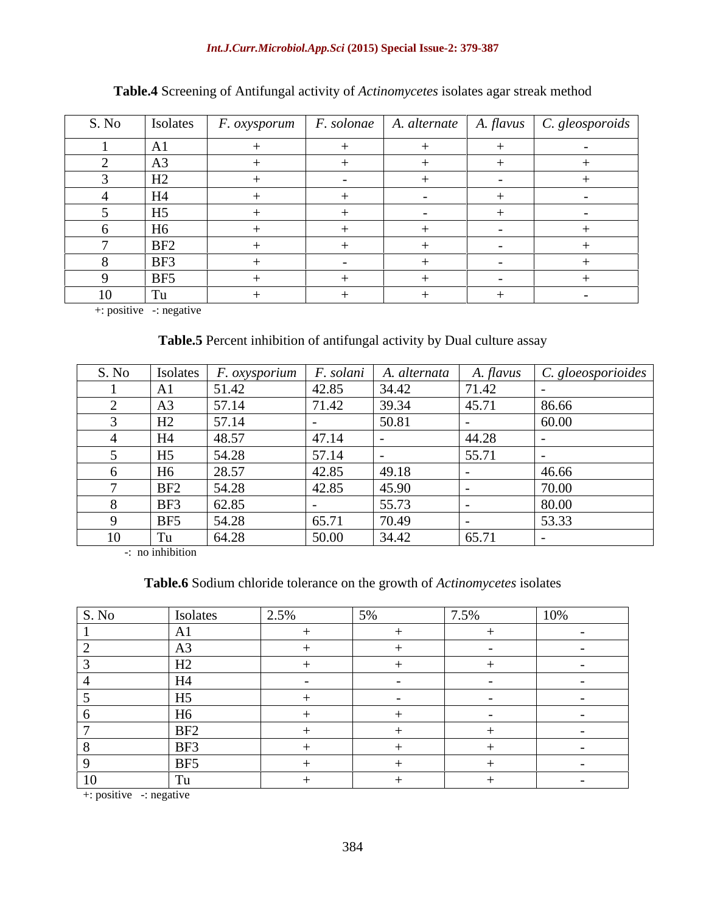### *Int.J.Curr.Microbiol.App.Sci* **(2015) Special Issue-2: 379-387**

| S. No | Isolates        |        |        |            |  |
|-------|-----------------|--------|--------|------------|--|
|       | A1              |        |        |            |  |
|       | A <sub>3</sub>  |        |        |            |  |
|       | H2              |        |        |            |  |
|       | H4              |        |        |            |  |
|       | H <sub>5</sub>  |        | $\sim$ |            |  |
|       | H <sub>6</sub>  |        |        |            |  |
|       | BF <sub>2</sub> |        |        |            |  |
|       | BF3             | $\sim$ |        | $\sim$ $-$ |  |
|       | BF5             |        |        |            |  |
|       | Tu              |        |        |            |  |

# **Table.4** Screening of Antifungal activity of *Actinomycetes* isolates agar streak method

+: positive -: negative

# **Table.5** Percent inhibition of antifungal activity by Dual culture assay

| S. No | Isolates        | <u>r. oxysporium</u> | F. solani | . alternata | A. flavus | . gloeosporioides |
|-------|-----------------|----------------------|-----------|-------------|-----------|-------------------|
|       | A1              | 51.42                | 42.85     | 34.42       | 71.42     |                   |
|       | A               | 571<br>J1.14         | 71.42     | 39.34       | 45.71     | 86.66             |
|       | H2              | 571<br>J I . I'      |           | 50.81       |           | 60.00             |
|       | H4              | 48.57                | 47.14     |             | 44.28     |                   |
|       | H <sub>5</sub>  | 54.28                | 57.14     |             | 55.71     |                   |
|       | H6              | 28.57                | 42.85     | 49.18       |           | 46.66             |
|       | BF <sub>2</sub> | 54.28                | 42.85     | 45.90       |           | 70.00             |
|       | BF3             | 62.85                |           | 55.73       |           | 80.00             |
|       | BE5             | 54.28                | 65.71     | 70.49       |           | 53.33             |
|       | Tu              | 64.28                | 50.00     | 34.42       | 65.71     |                   |

-: no inhibition

### **Table.6** Sodium chloride tolerance on the growth of *Actinomycetes* isolates

| S. No          | Isolates                                                                                                                                                                                                                                    | 2.5%                                                                                                                                                                                                                                                                                                                               | 7.5%                         |                               |
|----------------|---------------------------------------------------------------------------------------------------------------------------------------------------------------------------------------------------------------------------------------------|------------------------------------------------------------------------------------------------------------------------------------------------------------------------------------------------------------------------------------------------------------------------------------------------------------------------------------|------------------------------|-------------------------------|
|                |                                                                                                                                                                                                                                             |                                                                                                                                                                                                                                                                                                                                    |                              |                               |
|                | $\sqrt{2}$                                                                                                                                                                                                                                  |                                                                                                                                                                                                                                                                                                                                    |                              |                               |
|                | H2<br>________                                                                                                                                                                                                                              |                                                                                                                                                                                                                                                                                                                                    |                              |                               |
|                | <b>H4</b>                                                                                                                                                                                                                                   | <b>Contract Contract State</b>                                                                                                                                                                                                                                                                                                     |                              |                               |
|                | H5                                                                                                                                                                                                                                          |                                                                                                                                                                                                                                                                                                                                    | and the contract of the con- | and the state of the state of |
|                | H6                                                                                                                                                                                                                                          |                                                                                                                                                                                                                                                                                                                                    |                              | and the state of the state of |
|                | <u> 1989 - Jan James James Jan James James James James James James James James James James James James James James James James James James James James James James James James James James James James James James James James J</u><br>BE2 |                                                                                                                                                                                                                                                                                                                                    |                              | _____                         |
|                | BF3                                                                                                                                                                                                                                         | $\overline{a}$ and $\overline{a}$ and $\overline{a}$ and $\overline{a}$ and $\overline{a}$ and $\overline{a}$ and $\overline{a}$ and $\overline{a}$                                                                                                                                                                                |                              |                               |
|                | and the control of the control of<br><b>BF5</b>                                                                                                                                                                                             | $\overline{a}$ and $\overline{a}$ and $\overline{a}$ and $\overline{a}$ and $\overline{a}$ and $\overline{a}$ and $\overline{a}$ and $\overline{a}$ and $\overline{a}$ and $\overline{a}$ and $\overline{a}$ and $\overline{a}$ and $\overline{a}$ and $\overline{a}$ and $\overline{a}$ and $\overline{a}$ and $\overline{a}$ and |                              |                               |
| 1 <sub>0</sub> | Tu                                                                                                                                                                                                                                          |                                                                                                                                                                                                                                                                                                                                    |                              | <b>Service Contracts</b>      |

+: positive -: negative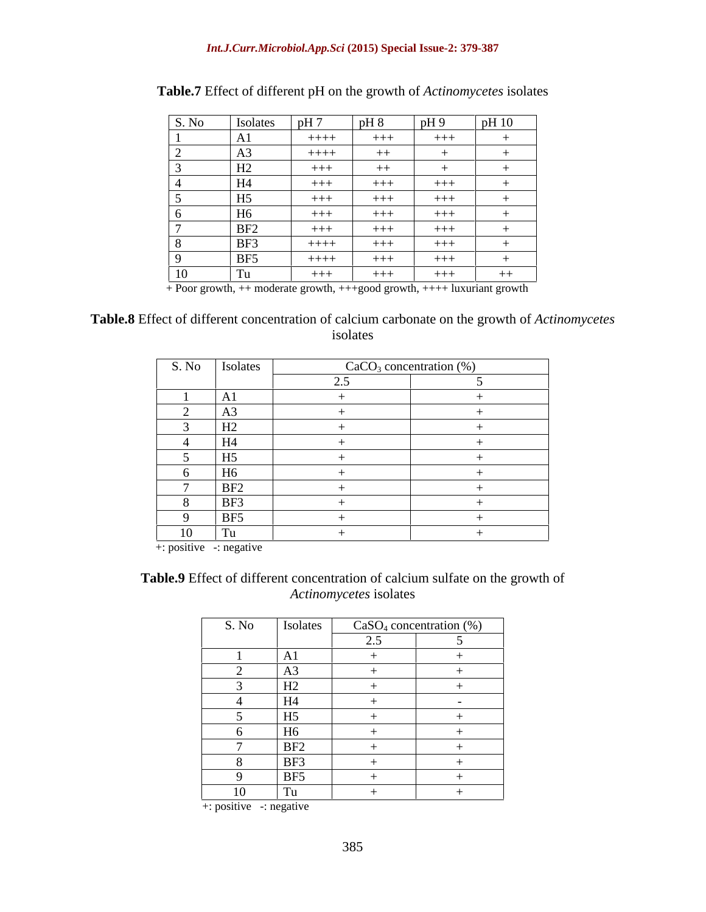### *Int.J.Curr.Microbiol.App.Sci* **(2015) Special Issue-2: 379-387**

| S. No | Isolates                 | pH7     | $pH_8$                                  | pH9   | pH10 |
|-------|--------------------------|---------|-----------------------------------------|-------|------|
|       | $\sim$<br>Al             | $+++++$ | $+++$                                   | $+++$ | $+$  |
|       | $\sim$<br>A <sub>3</sub> | $+++++$ | <b>Contract Contract Contract</b><br>キキ |       |      |
|       | H2                       | $+++$   | エナナ                                     |       |      |
|       | H4                       | $++++$  | $+++$                                   | $+++$ |      |
|       | H <sub>5</sub>           | $+++$   | $+++$                                   | $+++$ |      |
|       | H6                       | $++++$  | $+++$                                   | $+++$ |      |
|       | BF <sub>2</sub>          | $+++$   | $+++$                                   | $+++$ |      |
|       | BF3                      | $+++++$ | $+++$                                   | $+++$ |      |
|       | BF <sub>5</sub>          | $+++++$ | $+++$                                   | $+++$ |      |
| 10    | Tu                       | $+++$   | $+++$                                   | $+++$ | $++$ |

### **Table.7** Effect of different pH on the growth of *Actinomycetes* isolates

+ Poor growth, ++ moderate growth, +++good growth, ++++ luxuriant growth

### **Table.8** Effect of different concentration of calcium carbonate on the growth of *Actinomycetes* isolates

| S. No | Isolates        | CaCO <sub>3</sub> concentration (%) |  |
|-------|-----------------|-------------------------------------|--|
|       |                 |                                     |  |
|       | A1              |                                     |  |
|       | A3              |                                     |  |
|       | H2              |                                     |  |
|       | H <sub>4</sub>  |                                     |  |
|       | H <sub>5</sub>  |                                     |  |
|       | H6              |                                     |  |
|       | BF <sub>2</sub> |                                     |  |
|       | BF3             |                                     |  |
|       | BF5             |                                     |  |
| 10    | Tu              |                                     |  |

+: positive -: negative

### **Table.9** Effect of different concentration of calcium sulfate on the growth of *Actinomycetes* isolates

| S. No | Isolates        |     | $CaSO_4$ concentration $(\%)$ |
|-------|-----------------|-----|-------------------------------|
|       |                 | 2.5 |                               |
|       | A1              |     |                               |
|       | A <sub>3</sub>  |     |                               |
|       | H2              |     |                               |
|       | H4              |     | $\sim$                        |
|       | H <sub>5</sub>  |     |                               |
|       | H <sub>6</sub>  |     |                               |
|       | BF <sub>2</sub> |     |                               |
|       | BF3             |     |                               |
|       | BF5             |     |                               |
| 10    | Tu              |     |                               |

+: positive -: negative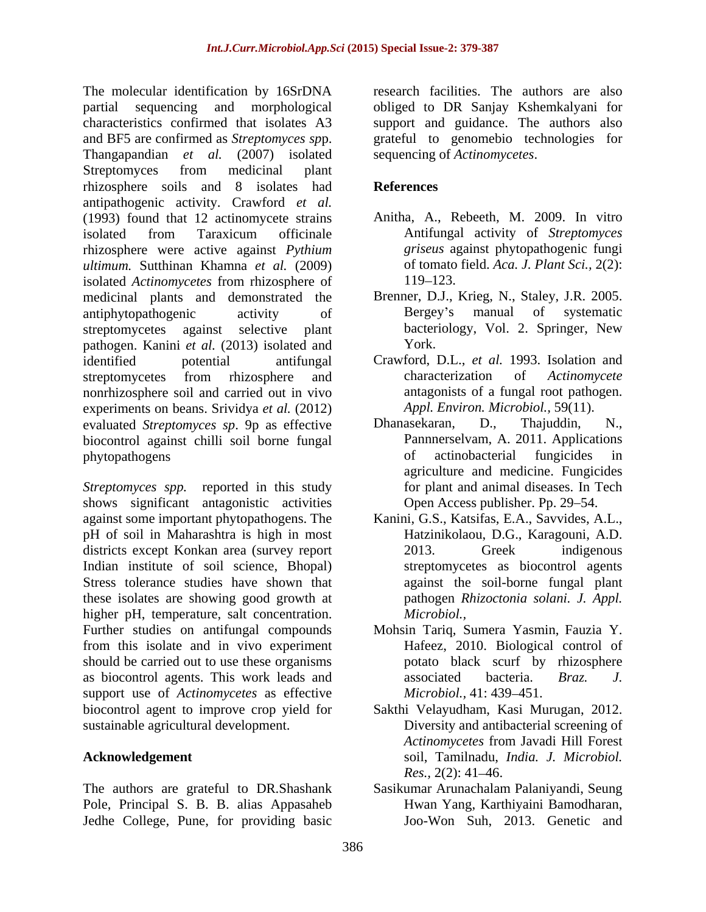The molecular identification by 16SrDNA research facilities. The authors are also partial sequencing and morphological obliged to DR Sanjay Kshemkalyani for characteristics confirmed that isolates A3 support and guidance. The authors also and BF5 are confirmed as *Streptomyces sp*p. grateful to genomebio technologies for Thangapandian *et al.* (2007) isolated Streptomyces from medicinal plant rhizosphere soils and 8 isolates had antipathogenic activity. Crawford *et al.* (1993) found that 12 actinomycete strains isolated from Taraxicum officinale **Antifungal activity of Streptomyces** rhizosphere were active against *Pythium ultimum.* Sutthinan Khamna *et al.* (2009) isolated *Actinomycetes* from rhizosphere of medicinal plants and demonstrated the Brenner, D.J., Krieg, N., Staley<br>antiphytopathogenic activity of Bergey's manual of antiphytopathogenic activity of Bergey's manual of systematic streptomycetes against selective plant bacteriology, Vol. 2. Springer, New pathogen. Kanini *et al.* (2013) isolated and identified potential antifungal Crawford, D.L., *et al.* 1993. Isolation and streptomycetes from rhizosphere and characterization of Actinomycete nonrhizosphere soil and carried out in vivo experiments on beans. Srividya *et al.* (2012) *Appl. Environ. Microbiol.*, 59(11 evaluated *Strentomyces sp.* 9p as effective Dhanasekaran, D., Thajuddin, evaluated *Streptomyces sp*. 9p as effective Dhanasekaran, D., Thajuddin, N., biocontrol against chilli soil borne fungal phytopathogens of actinobacterial fungicides in

*Streptomyces spp.* reported in this study shows significant antagonistic activities against some important phytopathogens. The Kanini, G.S., Katsifas, E.A., Savvides, A.L., pH of soil in Maharashtra is high in most districts except Konkan area (survey report 2013. Greek indigenous Indian institute of soil science, Bhopal) Stress tolerance studies have shown that against the soil-borne fungal plant these isolates are showing good growth at higher pH, temperature, salt concentration. *Microbiol.*, Further studies on antifungal compounds Mohsin Tariq, Sumera Yasmin, Fauzia Y. from this isolate and in vivo experiment should be carried out to use these organisms as biocontrol agents. This work leads and associated bacteria. *Braz. J.* support use of *Actinomycetes* as effective *Microbiol.*, 41: 439–451. biocontrol agent to improve crop yield for Sakthi Velayudham, Kasi Murugan, 2012.

The authors are grateful to DR.Shashank Pole, Principal S. B. B. alias Appasaheb Jedhe College, Pune, for providing basic

sequencing of *Actinomycetes*.

# **References**

- Anitha, A., Rebeeth, M. 2009. In vitro Antifungal activity of *Streptomyces griseus* against phytopathogenic fungi of tomato field. *Aca. J. Plant Sci.,* 2(2): 119–123.
- Brenner, D.J., Krieg, N., Staley, J.R. 2005. Bergey's manual of systematic York.
- characterization of *Actinomycete*  antagonists of a fungal root pathogen. *Appl. Environ. Microbiol.,* 59(11).
- Dhanasekaran, D., Thajuddin, N., Pannnerselvam, A. 2011. Applications of actinobacterial fungicides in agriculture and medicine. Fungicides for plant and animal diseases. In Tech Open Access publisher. Pp. 29–54.
- Hatzinikolaou, D.G., Karagouni, A.D. 2013. Greek indigenous streptomycetes as biocontrol agents pathogen *Rhizoctonia solani. J. Appl. Microbiol.,*
- Hafeez, 2010. Biological control of potato black scurf by rhizosphere associated bacteria. *Braz. J. Microbiol.,* 41: 439–451.
- sustainable agricultural development. Diversity and antibacterial screening of **Acknowledgement** soil, Tamilnadu, *India. J. Microbiol. Actinomycetes* from Javadi Hill Forest *Res.*, 2(2): 41–46.
	- Sasikumar Arunachalam Palaniyandi, Seung Hwan Yang, Karthiyaini Bamodharan, Joo-Won Suh, 2013. Genetic and